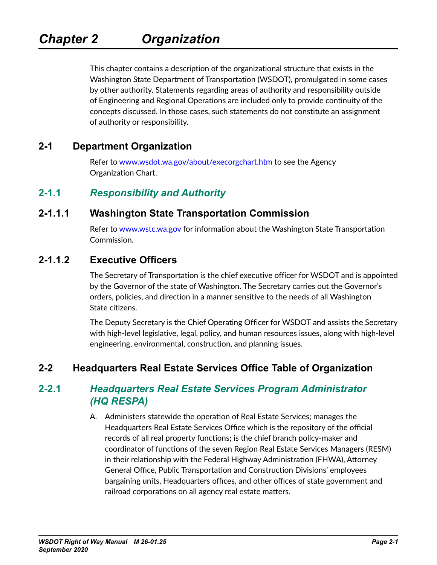This chapter contains a description of the organizational structure that exists in the Washington State Department of Transportation (WSDOT), promulgated in some cases by other authority. Statements regarding areas of authority and responsibility outside of Engineering and Regional Operations are included only to provide continuity of the concepts discussed. In those cases, such statements do not constitute an assignment of authority or responsibility.

## **2-1 Department Organization**

Refer to [www.wsdot.wa.gov/about/execorgchart.htm](http://www.wsdot.wa.gov/about/execorgchart.htm) to see the Agency Organization Chart.

## **2-1.1** *Responsibility and Authority*

#### **2-1.1.1 Washington State Transportation Commission**

Refer to [www.wstc.wa.gov](http://www.wstc.wa.gov) for information about the Washington State Transportation Commission.

## **2-1.1.2 Executive Officers**

The Secretary of Transportation is the chief executive officer for WSDOT and is appointed by the Governor of the state of Washington. The Secretary carries out the Governor's orders, policies, and direction in a manner sensitive to the needs of all Washington State citizens.

The Deputy Secretary is the Chief Operating Officer for WSDOT and assists the Secretary with high-level legislative, legal, policy, and human resources issues, along with high-level engineering, environmental, construction, and planning issues.

## **2-2 Headquarters Real Estate Services Office Table of Organization**

## **2-2.1** *Headquarters Real Estate Services Program Administrator (HQ RESPA)*

A. Administers statewide the operation of Real Estate Services; manages the Headquarters Real Estate Services Office which is the repository of the official records of all real property functions; is the chief branch policy-maker and coordinator of functions of the seven Region Real Estate Services Managers (RESM) in their relationship with the Federal Highway Administration (FHWA), Attorney General Office, Public Transportation and Construction Divisions' employees bargaining units, Headquarters offices, and other offices of state government and railroad corporations on all agency real estate matters.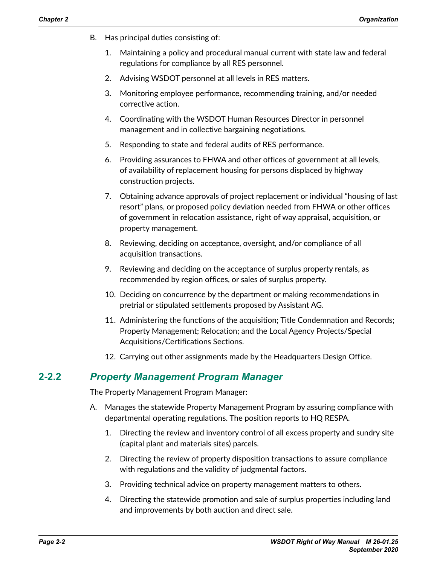- B. Has principal duties consisting of:
	- 1. Maintaining a policy and procedural manual current with state law and federal regulations for compliance by all RES personnel.
	- 2. Advising WSDOT personnel at all levels in RES matters.
	- 3. Monitoring employee performance, recommending training, and/or needed corrective action.
	- 4. Coordinating with the WSDOT Human Resources Director in personnel management and in collective bargaining negotiations.
	- 5. Responding to state and federal audits of RES performance.
	- 6. Providing assurances to FHWA and other offices of government at all levels, of availability of replacement housing for persons displaced by highway construction projects.
	- 7. Obtaining advance approvals of project replacement or individual "housing of last resort" plans, or proposed policy deviation needed from FHWA or other offices of government in relocation assistance, right of way appraisal, acquisition, or property management.
	- 8. Reviewing, deciding on acceptance, oversight, and/or compliance of all acquisition transactions.
	- 9. Reviewing and deciding on the acceptance of surplus property rentals, as recommended by region offices, or sales of surplus property.
	- 10. Deciding on concurrence by the department or making recommendations in pretrial or stipulated settlements proposed by Assistant AG.
	- 11. Administering the functions of the acquisition; Title Condemnation and Records; Property Management; Relocation; and the Local Agency Projects/Special Acquisitions/Certifications Sections.
	- 12. Carrying out other assignments made by the Headquarters Design Office.

## **2-2.2** *Property Management Program Manager*

The Property Management Program Manager:

- A. Manages the statewide Property Management Program by assuring compliance with departmental operating regulations. The position reports to HQ RESPA.
	- 1. Directing the review and inventory control of all excess property and sundry site (capital plant and materials sites) parcels.
	- 2. Directing the review of property disposition transactions to assure compliance with regulations and the validity of judgmental factors.
	- 3. Providing technical advice on property management matters to others.
	- 4. Directing the statewide promotion and sale of surplus properties including land and improvements by both auction and direct sale.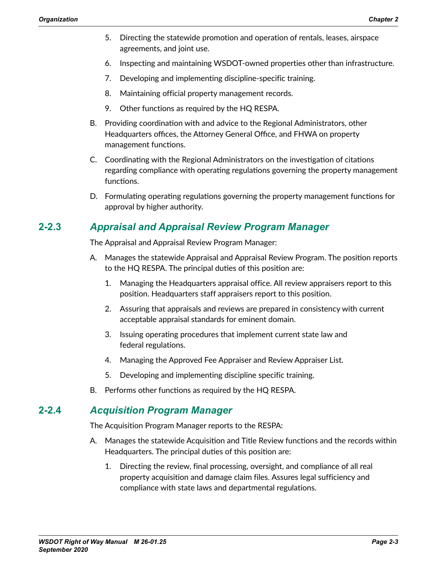- 5. Directing the statewide promotion and operation of rentals, leases, airspace agreements, and joint use.
- 6. Inspecting and maintaining WSDOT-owned properties other than infrastructure.
- 7. Developing and implementing discipline-specific training.
- 8. Maintaining official property management records.
- 9. Other functions as required by the HQ RESPA.
- B. Providing coordination with and advice to the Regional Administrators, other Headquarters offices, the Attorney General Office, and FHWA on property management functions.
- C. Coordinating with the Regional Administrators on the investigation of citations regarding compliance with operating regulations governing the property management functions.
- D. Formulating operating regulations governing the property management functions for approval by higher authority.

## **2-2.3** *Appraisal and Appraisal Review Program Manager*

The Appraisal and Appraisal Review Program Manager:

- A. Manages the statewide Appraisal and Appraisal Review Program. The position reports to the HQ RESPA. The principal duties of this position are:
	- 1. Managing the Headquarters appraisal office. All review appraisers report to this position. Headquarters staff appraisers report to this position.
	- 2. Assuring that appraisals and reviews are prepared in consistency with current acceptable appraisal standards for eminent domain.
	- 3. Issuing operating procedures that implement current state law and federal regulations.
	- 4. Managing the Approved Fee Appraiser and Review Appraiser List.
	- 5. Developing and implementing discipline specific training.
- B. Performs other functions as required by the HQ RESPA.

#### **2-2.4** *Acquisition Program Manager*

The Acquisition Program Manager reports to the RESPA:

- A. Manages the statewide Acquisition and Title Review functions and the records within Headquarters. The principal duties of this position are:
	- 1. Directing the review, final processing, oversight, and compliance of all real property acquisition and damage claim files. Assures legal sufficiency and compliance with state laws and departmental regulations.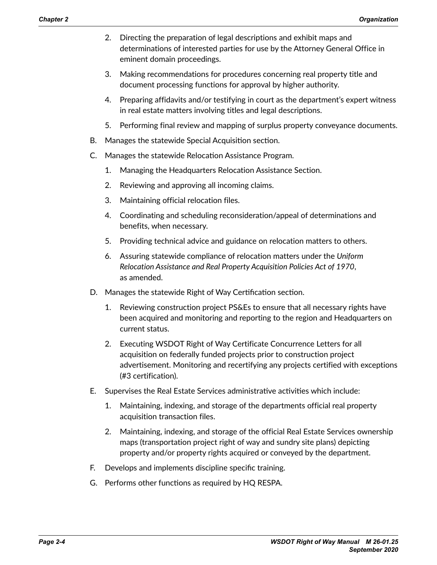- 2. Directing the preparation of legal descriptions and exhibit maps and determinations of interested parties for use by the Attorney General Office in eminent domain proceedings.
- 3. Making recommendations for procedures concerning real property title and document processing functions for approval by higher authority.
- 4. Preparing affidavits and/or testifying in court as the department's expert witness in real estate matters involving titles and legal descriptions.
- 5. Performing final review and mapping of surplus property conveyance documents.
- B. Manages the statewide Special Acquisition section.
- C. Manages the statewide Relocation Assistance Program.
	- 1. Managing the Headquarters Relocation Assistance Section.
	- 2. Reviewing and approving all incoming claims.
	- 3. Maintaining official relocation files.
	- 4. Coordinating and scheduling reconsideration/appeal of determinations and benefits, when necessary.
	- 5. Providing technical advice and guidance on relocation matters to others.
	- 6. Assuring statewide compliance of relocation matters under the *Uniform Relocation Assistance and Real Property Acquisition Policies Act of 1970*, as amended.
- D. Manages the statewide Right of Way Certification section.
	- 1. Reviewing construction project PS&Es to ensure that all necessary rights have been acquired and monitoring and reporting to the region and Headquarters on current status.
	- 2. Executing WSDOT Right of Way Certificate Concurrence Letters for all acquisition on federally funded projects prior to construction project advertisement. Monitoring and recertifying any projects certified with exceptions (#3 certification).
- E. Supervises the Real Estate Services administrative activities which include:
	- 1. Maintaining, indexing, and storage of the departments official real property acquisition transaction files.
	- 2. Maintaining, indexing, and storage of the official Real Estate Services ownership maps (transportation project right of way and sundry site plans) depicting property and/or property rights acquired or conveyed by the department.
- F. Develops and implements discipline specific training.
- G. Performs other functions as required by HQ RESPA.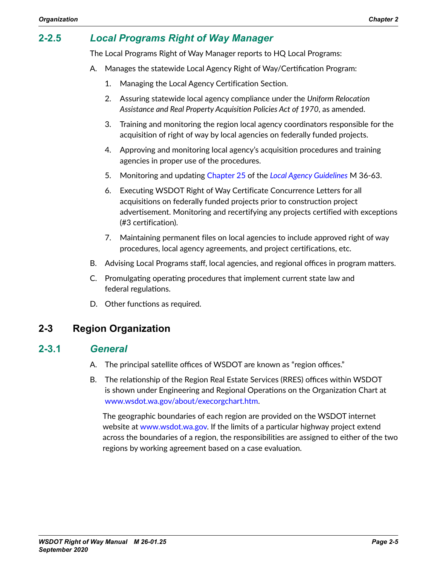# **2-2.5** *Local Programs Right of Way Manager*

The Local Programs Right of Way Manager reports to HQ Local Programs:

- A. Manages the statewide Local Agency Right of Way/Certification Program:
	- 1. Managing the Local Agency Certification Section.
	- 2. Assuring statewide local agency compliance under the *Uniform Relocation Assistance and Real Property Acquisition Policies Act of 1970*, as amended.
	- 3. Training and monitoring the region local agency coordinators responsible for the acquisition of right of way by local agencies on federally funded projects.
	- 4. Approving and monitoring local agency's acquisition procedures and training agencies in proper use of the procedures.
	- 5. Monitoring and updating [Chapter 25](http://www.wsdot.wa.gov/publications/manuals/fulltext/M36-63/Lag25.pdf) of the *[Local Agency Guidelines](http://www.wsdot.wa.gov/Publications/Manuals/M36-63.htm)* M 36-63.
	- 6. Executing WSDOT Right of Way Certificate Concurrence Letters for all acquisitions on federally funded projects prior to construction project advertisement. Monitoring and recertifying any projects certified with exceptions (#3 certification).
	- 7. Maintaining permanent files on local agencies to include approved right of way procedures, local agency agreements, and project certifications, etc.
- B. Advising Local Programs staff, local agencies, and regional offices in program matters.
- C. Promulgating operating procedures that implement current state law and federal regulations.
- D. Other functions as required.

## **2-3 Region Organization**

#### **2-3.1** *General*

- A. The principal satellite offices of WSDOT are known as "region offices."
- B. The relationship of the Region Real Estate Services (RRES) offices within WSDOT is shown under Engineering and Regional Operations on the Organization Chart at [www.wsdot.wa.gov/about/execorgchart.htm.](http://www.wsdot.wa.gov/about/execorgchart.htm)

The geographic boundaries of each region are provided on the WSDOT internet website at [www.wsdot.wa.gov](http://www.wsdot.wa.gov). If the limits of a particular highway project extend across the boundaries of a region, the responsibilities are assigned to either of the two regions by working agreement based on a case evaluation.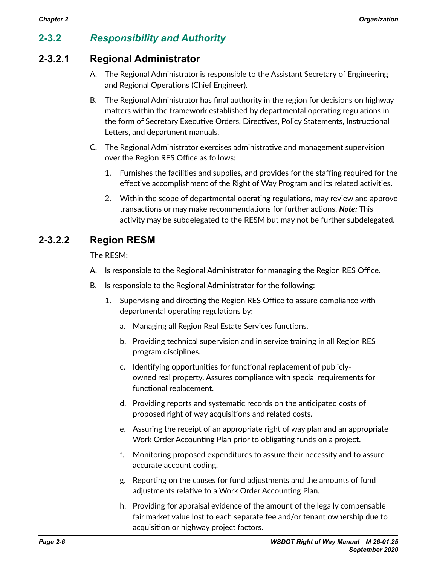# **2-3.2** *Responsibility and Authority*

## **2-3.2.1 Regional Administrator**

- A. The Regional Administrator is responsible to the Assistant Secretary of Engineering and Regional Operations (Chief Engineer).
- B. The Regional Administrator has final authority in the region for decisions on highway matters within the framework established by departmental operating regulations in the form of Secretary Executive Orders, Directives, Policy Statements, Instructional Letters, and department manuals.
- C. The Regional Administrator exercises administrative and management supervision over the Region RES Office as follows:
	- 1. Furnishes the facilities and supplies, and provides for the staffing required for the effective accomplishment of the Right of Way Program and its related activities.
	- 2. Within the scope of departmental operating regulations, may review and approve transactions or may make recommendations for further actions. *Note:* This activity may be subdelegated to the RESM but may not be further subdelegated.

## **2-3.2.2 Region RESM**

The RESM:

- A. Is responsible to the Regional Administrator for managing the Region RES Office.
- B. Is responsible to the Regional Administrator for the following:
	- 1. Supervising and directing the Region RES Office to assure compliance with departmental operating regulations by:
		- a. Managing all Region Real Estate Services functions.
		- b. Providing technical supervision and in service training in all Region RES program disciplines.
		- c. Identifying opportunities for functional replacement of publiclyowned real property. Assures compliance with special requirements for functional replacement.
		- d. Providing reports and systematic records on the anticipated costs of proposed right of way acquisitions and related costs.
		- e. Assuring the receipt of an appropriate right of way plan and an appropriate Work Order Accounting Plan prior to obligating funds on a project.
		- f. Monitoring proposed expenditures to assure their necessity and to assure accurate account coding.
		- g. Reporting on the causes for fund adjustments and the amounts of fund adjustments relative to a Work Order Accounting Plan.
		- h. Providing for appraisal evidence of the amount of the legally compensable fair market value lost to each separate fee and/or tenant ownership due to acquisition or highway project factors.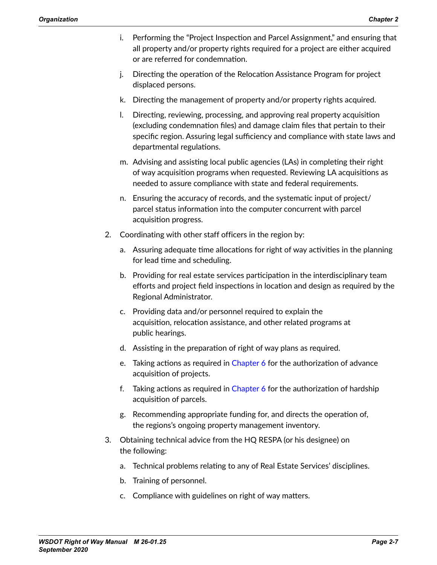- i. Performing the "Project Inspection and Parcel Assignment," and ensuring that all property and/or property rights required for a project are either acquired or are referred for condemnation.
- j. Directing the operation of the Relocation Assistance Program for project displaced persons.
- k. Directing the management of property and/or property rights acquired.
- l. Directing, reviewing, processing, and approving real property acquisition (excluding condemnation files) and damage claim files that pertain to their specific region. Assuring legal sufficiency and compliance with state laws and departmental regulations.
- m. Advising and assisting local public agencies (LAs) in completing their right of way acquisition programs when requested. Reviewing LA acquisitions as needed to assure compliance with state and federal requirements.
- n. Ensuring the accuracy of records, and the systematic input of project/ parcel status information into the computer concurrent with parcel acquisition progress.
- 2. Coordinating with other staff officers in the region by:
	- a. Assuring adequate time allocations for right of way activities in the planning for lead time and scheduling.
	- b. Providing for real estate services participation in the interdisciplinary team efforts and project field inspections in location and design as required by the Regional Administrator.
	- c. Providing data and/or personnel required to explain the acquisition, relocation assistance, and other related programs at public hearings.
	- d. Assisting in the preparation of right of way plans as required.
	- e. Taking actions as required in Chapter 6 for the authorization of advance acquisition of projects.
	- f. Taking actions as required in Chapter 6 for the authorization of hardship acquisition of parcels.
	- g. Recommending appropriate funding for, and directs the operation of, the regions's ongoing property management inventory.
- 3. Obtaining technical advice from the HQ RESPA (or his designee) on the following:
	- a. Technical problems relating to any of Real Estate Services' disciplines.
	- b. Training of personnel.
	- c. Compliance with guidelines on right of way matters.